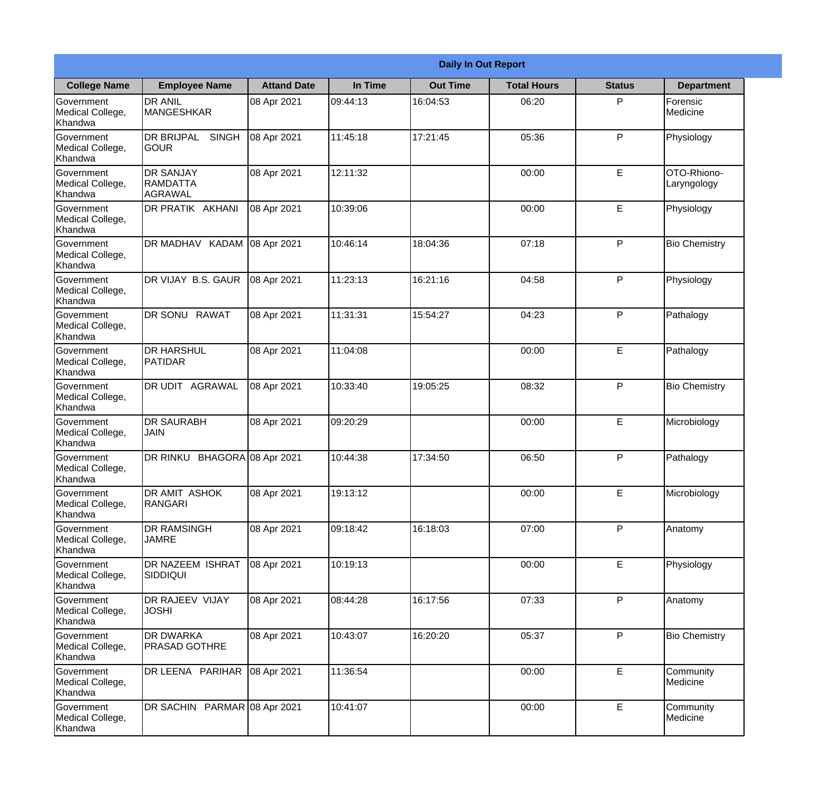|                                                  |                                                |                     |          | <b>Daily In Out Report</b> |                    |               |                            |
|--------------------------------------------------|------------------------------------------------|---------------------|----------|----------------------------|--------------------|---------------|----------------------------|
| <b>College Name</b>                              | <b>Employee Name</b>                           | <b>Attand Date</b>  | In Time  | <b>Out Time</b>            | <b>Total Hours</b> | <b>Status</b> | <b>Department</b>          |
| Government<br>Medical College,<br>Khandwa        | <b>DR ANIL</b><br><b>MANGESHKAR</b>            | 08 Apr 2021         | 09:44:13 | 16:04:53                   | 06:20              | P             | Forensic<br>Medicine       |
| Government<br>Medical College,<br>Khandwa        | <b>DR BRIJPAL</b><br><b>SINGH</b><br> GOUR     | 08 Apr 2021         | 11:45:18 | 17:21:45                   | 05:36              | P             | Physiology                 |
| <b>Government</b><br>Medical College,<br>Khandwa | <b>DR SANJAY</b><br><b>RAMDATTA</b><br>AGRAWAL | 08 Apr 2021         | 12:11:32 |                            | 00:00              | E             | OTO-Rhiono-<br>Laryngology |
| <b>Government</b><br>Medical College,<br>Khandwa | DR PRATIK AKHANI                               | 08 Apr 2021         | 10:39:06 |                            | 00:00              | E             | Physiology                 |
| Government<br>Medical College,<br>Khandwa        | DR MADHAV KADAM 08 Apr 2021                    |                     | 10:46:14 | 18:04:36                   | 07:18              | P             | <b>Bio Chemistry</b>       |
| Government<br>Medical College,<br>Khandwa        | DR VIJAY B.S. GAUR                             | 08 Apr 2021         | 11:23:13 | 16:21:16                   | 04:58              | P             | Physiology                 |
| <b>Government</b><br>Medical College,<br>Khandwa | DR SONU RAWAT                                  | 08 Apr 2021         | 11:31:31 | 15:54:27                   | 04:23              | P             | Pathalogy                  |
| <b>Government</b><br>Medical College,<br>Khandwa | <b>DR HARSHUL</b><br>PATIDAR                   | 08 Apr 2021         | 11:04:08 |                            | 00:00              | E             | Pathalogy                  |
| Government<br>Medical College,<br>Khandwa        | DR UDIT AGRAWAL                                | 08 Apr 2021         | 10:33:40 | 19:05:25                   | 08:32              | P             | <b>Bio Chemistry</b>       |
| Government<br>Medical College,<br>Khandwa        | <b>DR SAURABH</b><br><b>JAIN</b>               | 08 Apr 2021         | 09:20:29 |                            | 00:00              | $\mathsf E$   | Microbiology               |
| Government<br>Medical College,<br>Khandwa        | DR RINKU                                       | BHAGORA 08 Apr 2021 | 10:44:38 | 17:34:50                   | 06:50              | P             | Pathalogy                  |
| Government<br>Medical College,<br>Khandwa        | DR AMIT ASHOK<br>RANGARI                       | 08 Apr 2021         | 19:13:12 |                            | 00:00              | E             | Microbiology               |
| Government<br>Medical College,<br>Khandwa        | <b>DR RAMSINGH</b><br><b>JAMRE</b>             | 08 Apr 2021         | 09:18:42 | 16:18:03                   | 07:00              | P             | Anatomy                    |
| Government<br>Medical College,<br>Khandwa        | <b>DR NAZEEM ISHRAT</b><br><b>SIDDIQUI</b>     | 08 Apr 2021         | 10:19:13 |                            | 00:00              | $\mathsf E$   | Physiology                 |
| Government<br>Medical College,<br>Khandwa        | DR RAJEEV VIJAY<br><b>JOSHI</b>                | 08 Apr 2021         | 08:44:28 | 16:17:56                   | 07:33              | P             | Anatomy                    |
| Government<br>Medical College,<br>Khandwa        | <b>DR DWARKA</b><br><b>PRASAD GOTHRE</b>       | 08 Apr 2021         | 10:43:07 | 16:20:20                   | 05:37              | P             | <b>Bio Chemistry</b>       |
| Government<br>Medical College,<br>Khandwa        | DR LEENA PARIHAR                               | 08 Apr 2021         | 11:36:54 |                            | 00:00              | E             | Community<br>Medicine      |
| Government<br>Medical College,<br>Khandwa        | DR SACHIN PARMAR 08 Apr 2021                   |                     | 10:41:07 |                            | 00:00              | $\mathsf E$   | Community<br>Medicine      |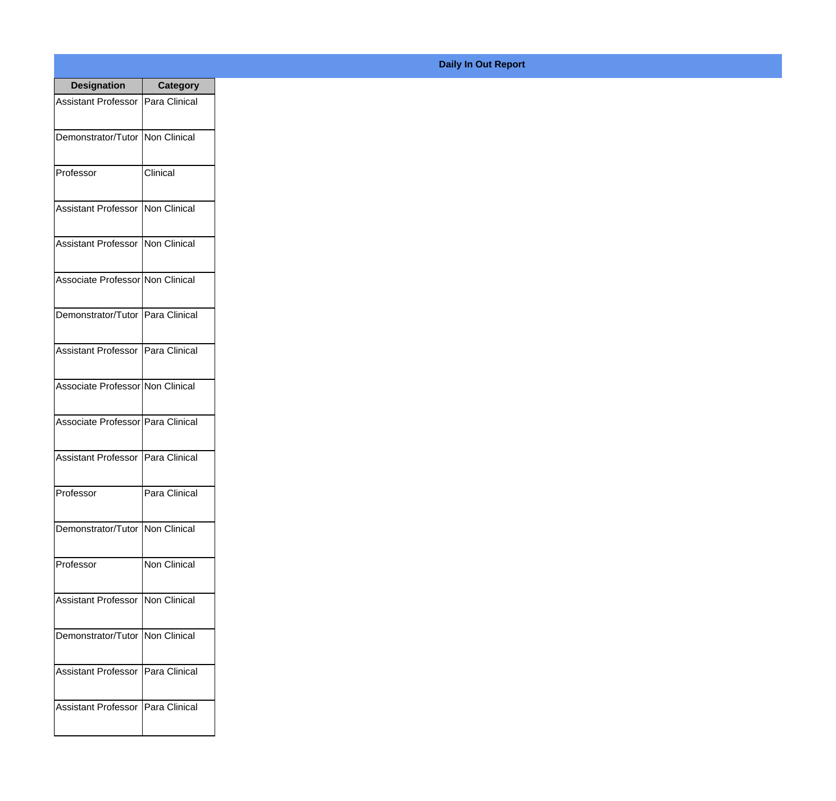| <b>Designation</b>                  | <b>Category</b>     |
|-------------------------------------|---------------------|
| Assistant Professor   Para Clinical |                     |
| Demonstrator/Tutor   Non Clinical   |                     |
| Professor                           | Clinical            |
| Assistant Professor   Non Clinical  |                     |
| Assistant Professor   Non Clinical  |                     |
| Associate Professor Non Clinical    |                     |
| Demonstrator/Tutor   Para Clinical  |                     |
| Assistant Professor   Para Clinical |                     |
| Associate Professor Non Clinical    |                     |
| Associate Professor Para Clinical   |                     |
| Assistant Professor                 | Para Clinical       |
| Professor                           | Para Clinical       |
| Demonstrator/Tutor   Non Clinical   |                     |
| Professor                           | <b>Non Clinical</b> |
| Assistant Professor   Non Clinical  |                     |
| Demonstrator/Tutor   Non Clinical   |                     |
| <b>Assistant Professor</b>          | Para Clinical       |
| Assistant Professor   Para Clinical |                     |

## **Daily In Out Report**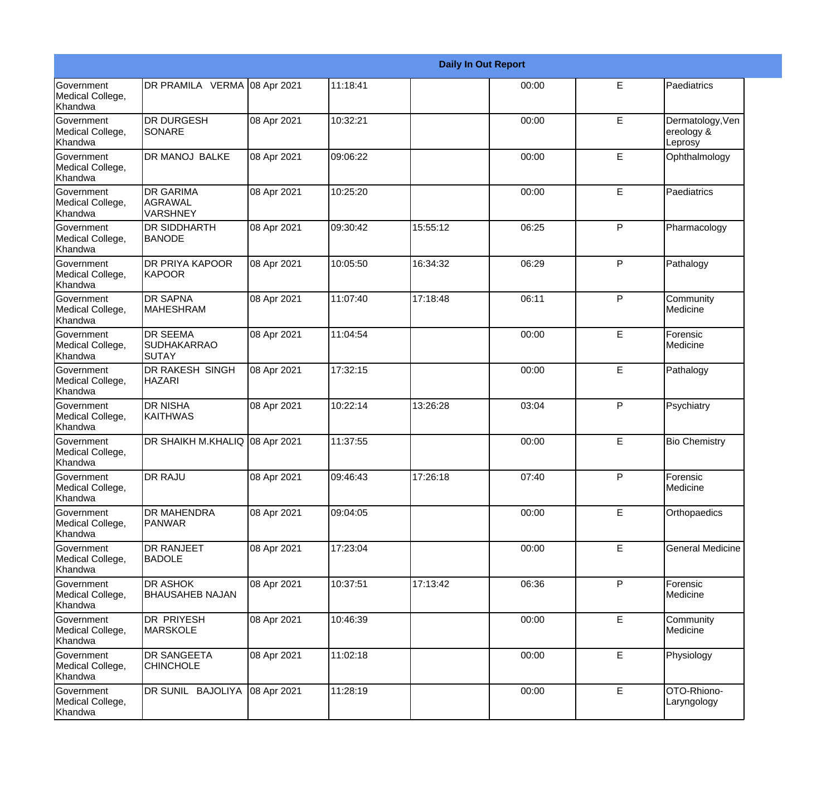|                                                  |                                                |             |          |          | <b>Daily In Out Report</b> |             |                                           |
|--------------------------------------------------|------------------------------------------------|-------------|----------|----------|----------------------------|-------------|-------------------------------------------|
| Government<br>Medical College,<br>Khandwa        | DR PRAMILA VERMA 08 Apr 2021                   |             | 11:18:41 |          | 00:00                      | E           | Paediatrics                               |
| Government<br>Medical College,<br>Khandwa        | <b>DR DURGESH</b><br>SONARE                    | 08 Apr 2021 | 10:32:21 |          | 00:00                      | E           | Dermatology, Ven<br>ereology &<br>Leprosy |
| <b>Government</b><br>Medical College,<br>Khandwa | <b>DR MANOJ BALKE</b>                          | 08 Apr 2021 | 09:06:22 |          | 00:00                      | E           | Ophthalmology                             |
| Government<br>Medical College,<br>Khandwa        | <b>DR GARIMA</b><br>AGRAWAL<br><b>VARSHNEY</b> | 08 Apr 2021 | 10:25:20 |          | 00:00                      | E           | Paediatrics                               |
| <b>Government</b><br>Medical College,<br>Khandwa | <b>DR SIDDHARTH</b><br><b>BANODE</b>           | 08 Apr 2021 | 09:30:42 | 15:55:12 | 06:25                      | P           | Pharmacology                              |
| Government<br>Medical College,<br>Khandwa        | DR PRIYA KAPOOR<br><b>KAPOOR</b>               | 08 Apr 2021 | 10:05:50 | 16:34:32 | 06:29                      | P           | Pathalogy                                 |
| <b>Government</b><br>Medical College,<br>Khandwa | <b>DR SAPNA</b><br><b>MAHESHRAM</b>            | 08 Apr 2021 | 11:07:40 | 17:18:48 | 06:11                      | P           | Community<br>Medicine                     |
| <b>Government</b><br>Medical College,<br>Khandwa | <b>DR SEEMA</b><br><b>SUDHAKARRAO</b><br>SUTAY | 08 Apr 2021 | 11:04:54 |          | 00:00                      | E           | Forensic<br>Medicine                      |
| Government<br>Medical College,<br>Khandwa        | <b>DR RAKESH SINGH</b><br><b>HAZARI</b>        | 08 Apr 2021 | 17:32:15 |          | 00:00                      | E           | Pathalogy                                 |
| <b>Government</b><br>Medical College,<br>Khandwa | <b>DR NISHA</b><br>KAITHWAS                    | 08 Apr 2021 | 10:22:14 | 13:26:28 | 03:04                      | P           | Psychiatry                                |
| <b>Government</b><br>Medical College,<br>Khandwa | DR SHAIKH M.KHALIQ 08 Apr 2021                 |             | 11:37:55 |          | 00:00                      | E           | <b>Bio Chemistry</b>                      |
| Government<br>Medical College,<br>Khandwa        | <b>DR RAJU</b>                                 | 08 Apr 2021 | 09:46:43 | 17:26:18 | 07:40                      | P           | Forensic<br>Medicine                      |
| Government<br>Medical College,<br>Khandwa        | <b>DR MAHENDRA</b><br>PANWAR                   | 08 Apr 2021 | 09:04:05 |          | 00:00                      | E           | Orthopaedics                              |
| Government<br>Medical College,<br>Khandwa        | <b>DR RANJEET</b><br><b>BADOLE</b>             | 08 Apr 2021 | 17:23:04 |          | 00:00                      | E           | <b>General Medicine</b>                   |
| Government<br>Medical College,<br>Khandwa        | <b>DR ASHOK</b><br><b>BHAUSAHEB NAJAN</b>      | 08 Apr 2021 | 10:37:51 | 17:13:42 | 06:36                      | P           | Forensic<br>Medicine                      |
| Government<br>Medical College,<br>Khandwa        | <b>DR PRIYESH</b><br><b>MARSKOLE</b>           | 08 Apr 2021 | 10:46:39 |          | 00:00                      | E           | Community<br>Medicine                     |
| Government<br>Medical College,<br>Khandwa        | <b>DR SANGEETA</b><br><b>CHINCHOLE</b>         | 08 Apr 2021 | 11:02:18 |          | 00:00                      | $\mathsf E$ | Physiology                                |
| Government<br>Medical College,<br>Khandwa        | DR SUNIL BAJOLIYA                              | 08 Apr 2021 | 11:28:19 |          | 00:00                      | E           | OTO-Rhiono-<br>Laryngology                |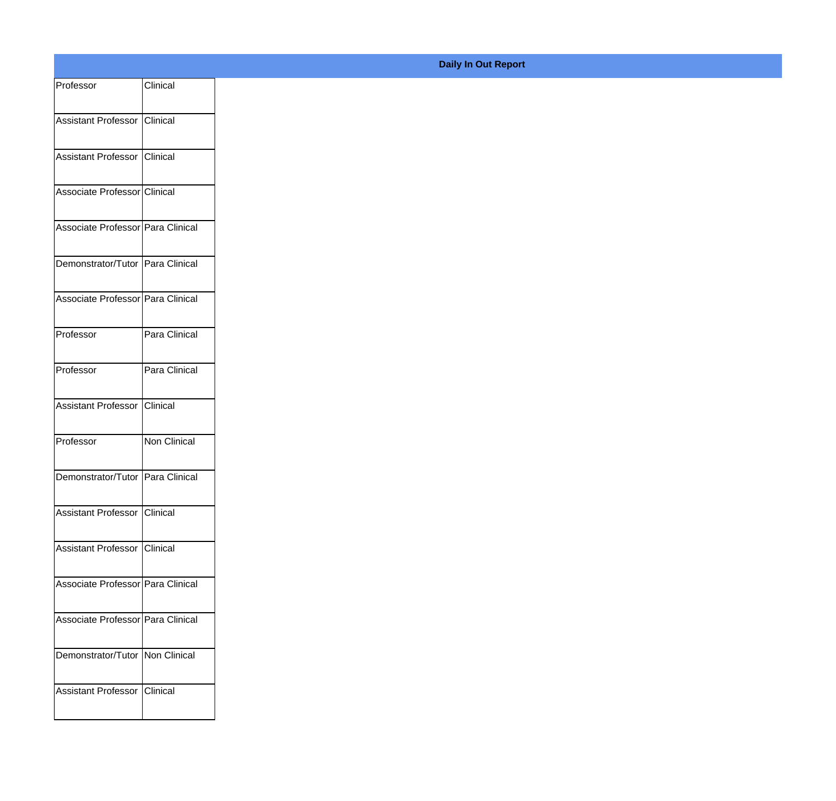| Professor                         | Clinical      |
|-----------------------------------|---------------|
| Assistant Professor Clinical      |               |
|                                   |               |
| Assistant Professor Clinical      |               |
| Associate Professor Clinical      |               |
| Associate Professor Para Clinical |               |
| Demonstrator/Tutor Para Clinical  |               |
| Associate Professor Para Clinical |               |
| Professor                         | Para Clinical |
| Professor                         | Para Clinical |
| Assistant Professor Clinical      |               |
| Professor                         | Non Clinical  |
| Demonstrator/Tutor Para Clinical  |               |
| Assistant Professor Clinical      |               |
| Assistant Professor Clinical      |               |
| Associate Professor Para Clinical |               |
| Associate Professor Para Clinical |               |
| Demonstrator/Tutor   Non Clinical |               |
| Assistant Professor Clinical      |               |
|                                   |               |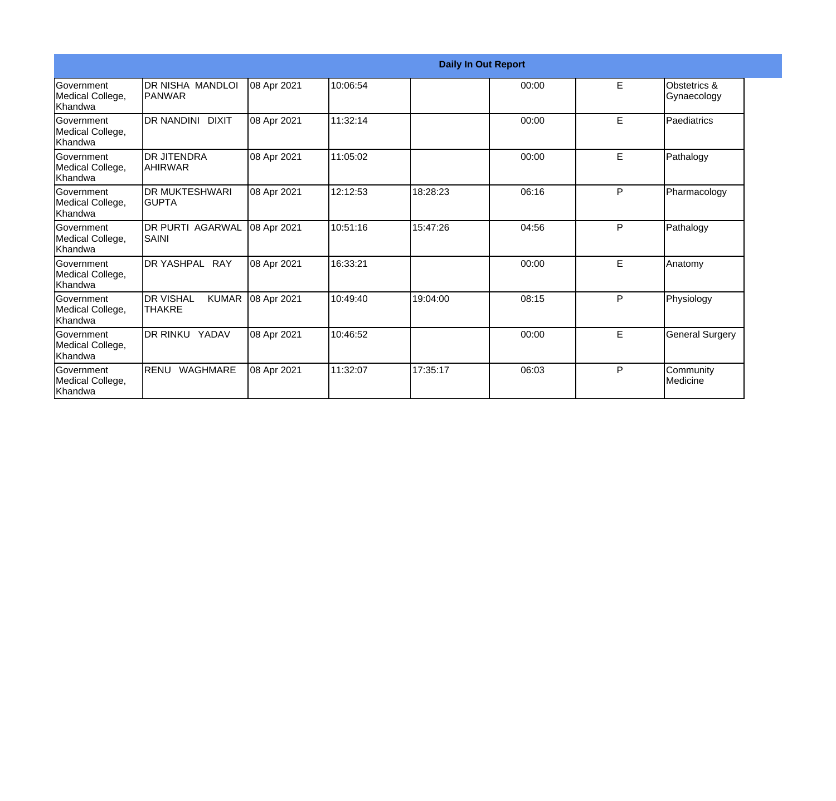|                                                  |                                             |             |          |          | <b>Daily In Out Report</b> |   |                             |
|--------------------------------------------------|---------------------------------------------|-------------|----------|----------|----------------------------|---|-----------------------------|
| Government<br>Medical College,<br>Khandwa        | IDR NISHA MANDLOI<br><b>IPANWAR</b>         | 08 Apr 2021 | 10:06:54 |          | 00:00                      | E | Obstetrics &<br>Gynaecology |
| <b>Government</b><br>Medical College,<br>Khandwa | DR NANDINI DIXIT                            | 08 Apr 2021 | 11:32:14 |          | 00:00                      | E | Paediatrics                 |
| <b>Government</b><br>Medical College,<br>Khandwa | <b>DR JITENDRA</b><br><b>AHIRWAR</b>        | 08 Apr 2021 | 11:05:02 |          | 00:00                      | E | Pathalogy                   |
| Government<br>Medical College,<br>Khandwa        | <b>DR MUKTESHWARI</b><br>IGUPTA             | 08 Apr 2021 | 12:12:53 | 18:28:23 | 06:16                      | P | Pharmacology                |
| Government<br>Medical College,<br>Khandwa        | <b>DR PURTI AGARWAL</b><br><b>SAINI</b>     | 08 Apr 2021 | 10:51:16 | 15:47:26 | 04:56                      | P | Pathalogy                   |
| <b>Government</b><br>Medical College,<br>Khandwa | DR YASHPAL RAY                              | 08 Apr 2021 | 16:33:21 |          | 00:00                      | E | Anatomy                     |
| Government<br>Medical College,<br>Khandwa        | <b>DR VISHAL</b><br><b>KUMAR</b><br>ITHAKRE | 08 Apr 2021 | 10:49:40 | 19:04:00 | 08:15                      | P | Physiology                  |
| Government<br>Medical College,<br>Khandwa        | DR RINKU YADAV                              | 08 Apr 2021 | 10:46:52 |          | 00:00                      | E | <b>General Surgery</b>      |
| <b>Government</b><br>Medical College,<br>Khandwa | RENU<br><b>WAGHMARE</b>                     | 08 Apr 2021 | 11:32:07 | 17:35:17 | 06:03                      | P | Community<br>Medicine       |